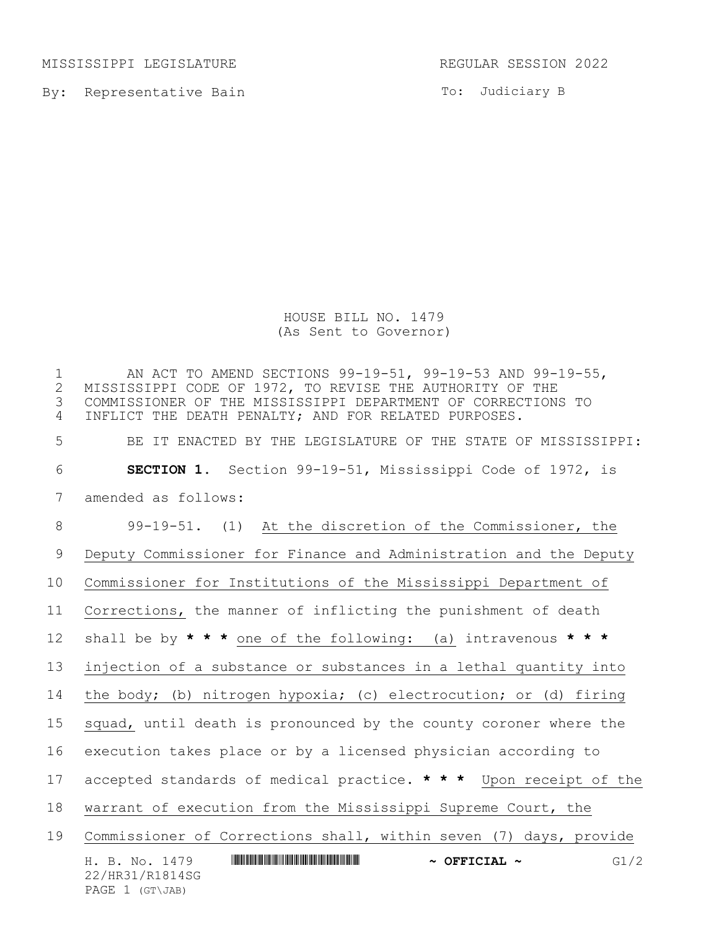MISSISSIPPI LEGISLATURE REGULAR SESSION 2022

By: Representative Bain

PAGE 1 (GT\JAB)

To: Judiciary B

HOUSE BILL NO. 1479 (As Sent to Governor)

H. B. No. 1479 \*HR31/R1814SG\* **~ OFFICIAL ~** G1/2 22/HR31/R1814SG 1 MI ACT TO AMEND SECTIONS 99-19-51, 99-19-53 AND 99-19-55,<br>2 MISSISSIPPI CODE OF 1972, TO REVISE THE AUTHORITY OF THE 2 MISSISSIPPI CODE OF 1972, TO REVISE THE AUTHORITY OF THE<br>3 COMMISSIONER OF THE MISSISSIPPI DEPARTMENT OF CORRECTION: COMMISSIONER OF THE MISSISSIPPI DEPARTMENT OF CORRECTIONS TO INFLICT THE DEATH PENALTY; AND FOR RELATED PURPOSES. BE IT ENACTED BY THE LEGISLATURE OF THE STATE OF MISSISSIPPI: **SECTION 1.** Section 99-19-51, Mississippi Code of 1972, is amended as follows: 99-19-51. (1) At the discretion of the Commissioner, the Deputy Commissioner for Finance and Administration and the Deputy Commissioner for Institutions of the Mississippi Department of Corrections, the manner of inflicting the punishment of death shall be by **\* \* \*** one of the following: (a) intravenous **\* \* \*** injection of a substance or substances in a lethal quantity into the body; (b) nitrogen hypoxia; (c) electrocution; or (d) firing 15 squad, until death is pronounced by the county coroner where the execution takes place or by a licensed physician according to accepted standards of medical practice. **\* \* \*** Upon receipt of the warrant of execution from the Mississippi Supreme Court, the Commissioner of Corrections shall, within seven (7) days, provide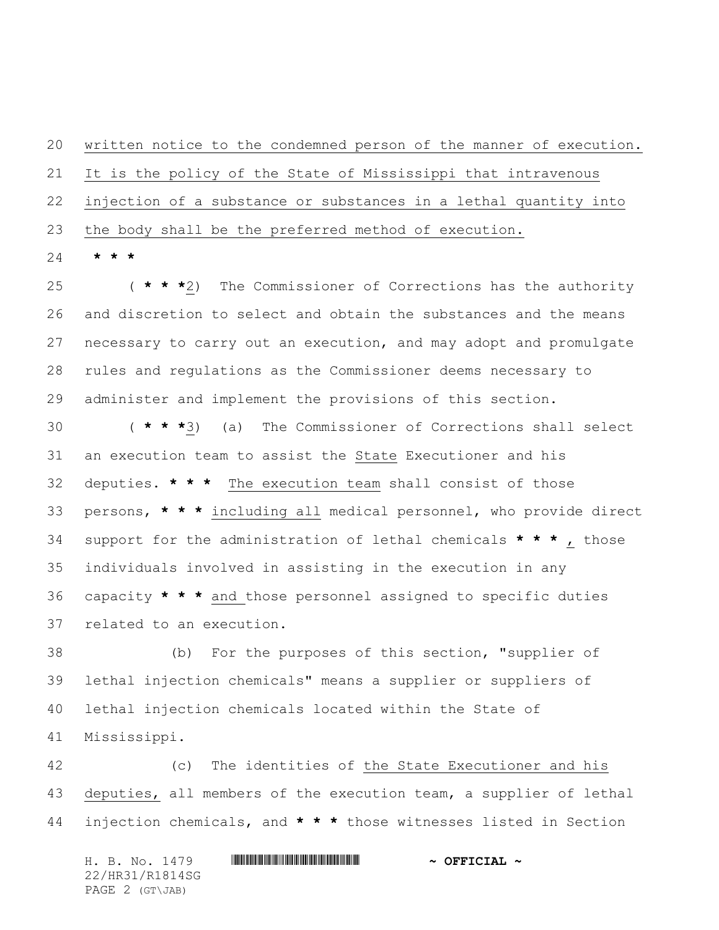written notice to the condemned person of the manner of execution. It is the policy of the State of Mississippi that intravenous injection of a substance or substances in a lethal quantity into the body shall be the preferred method of execution.

**\* \* \***

 ( **\* \* \***2) The Commissioner of Corrections has the authority and discretion to select and obtain the substances and the means necessary to carry out an execution, and may adopt and promulgate rules and regulations as the Commissioner deems necessary to administer and implement the provisions of this section.

 ( **\* \* \***3) (a) The Commissioner of Corrections shall select an execution team to assist the State Executioner and his deputies. **\* \* \*** The execution team shall consist of those persons, **\* \* \*** including all medical personnel, who provide direct support for the administration of lethal chemicals **\* \* \*** , those individuals involved in assisting in the execution in any capacity **\* \* \*** and those personnel assigned to specific duties related to an execution.

 (b) For the purposes of this section, "supplier of lethal injection chemicals" means a supplier or suppliers of lethal injection chemicals located within the State of Mississippi.

 (c) The identities of the State Executioner and his deputies, all members of the execution team, a supplier of lethal injection chemicals, and **\* \* \*** those witnesses listed in Section

H. B. No. 1479 **. HRINING CONSUMING THE REAL PROPERTION A** 22/HR31/R1814SG PAGE 2 (GT\JAB)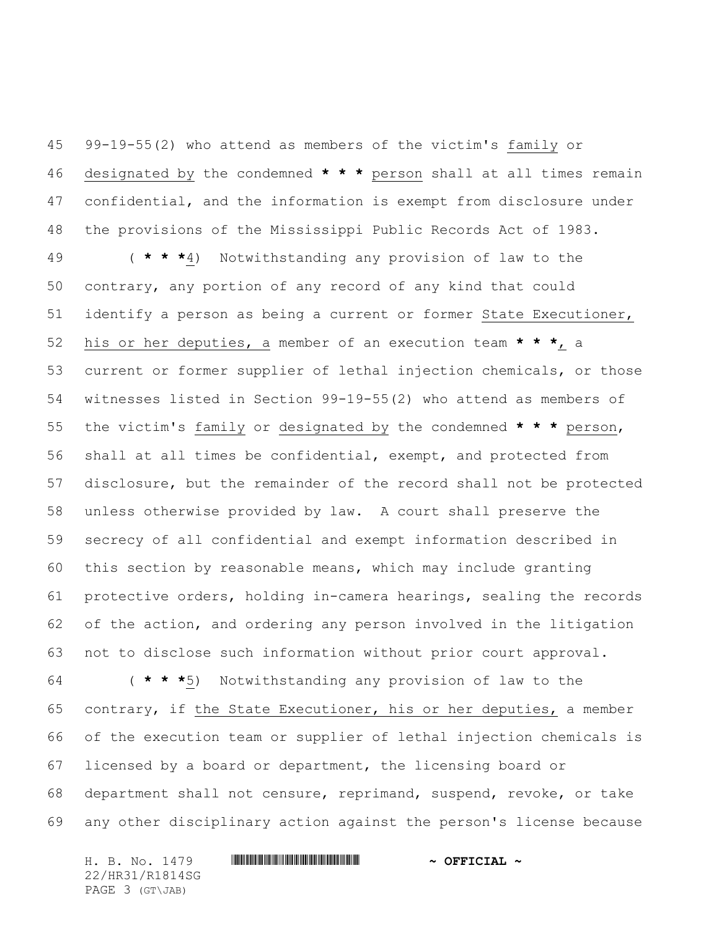99-19-55(2) who attend as members of the victim's family or designated by the condemned **\* \* \*** person shall at all times remain confidential, and the information is exempt from disclosure under the provisions of the Mississippi Public Records Act of 1983.

 ( **\* \* \***4) Notwithstanding any provision of law to the contrary, any portion of any record of any kind that could identify a person as being a current or former State Executioner, his or her deputies, a member of an execution team **\* \* \***, a current or former supplier of lethal injection chemicals, or those witnesses listed in Section 99-19-55(2) who attend as members of the victim's family or designated by the condemned **\* \* \*** person, shall at all times be confidential, exempt, and protected from disclosure, but the remainder of the record shall not be protected unless otherwise provided by law. A court shall preserve the secrecy of all confidential and exempt information described in this section by reasonable means, which may include granting protective orders, holding in-camera hearings, sealing the records of the action, and ordering any person involved in the litigation not to disclose such information without prior court approval.

 ( **\* \* \***5) Notwithstanding any provision of law to the contrary, if the State Executioner, his or her deputies, a member of the execution team or supplier of lethal injection chemicals is licensed by a board or department, the licensing board or department shall not censure, reprimand, suspend, revoke, or take any other disciplinary action against the person's license because

H. B. No. 1479 **. HRINING CONSUMING THE REAL PROPERTION A** 22/HR31/R1814SG PAGE 3 (GT\JAB)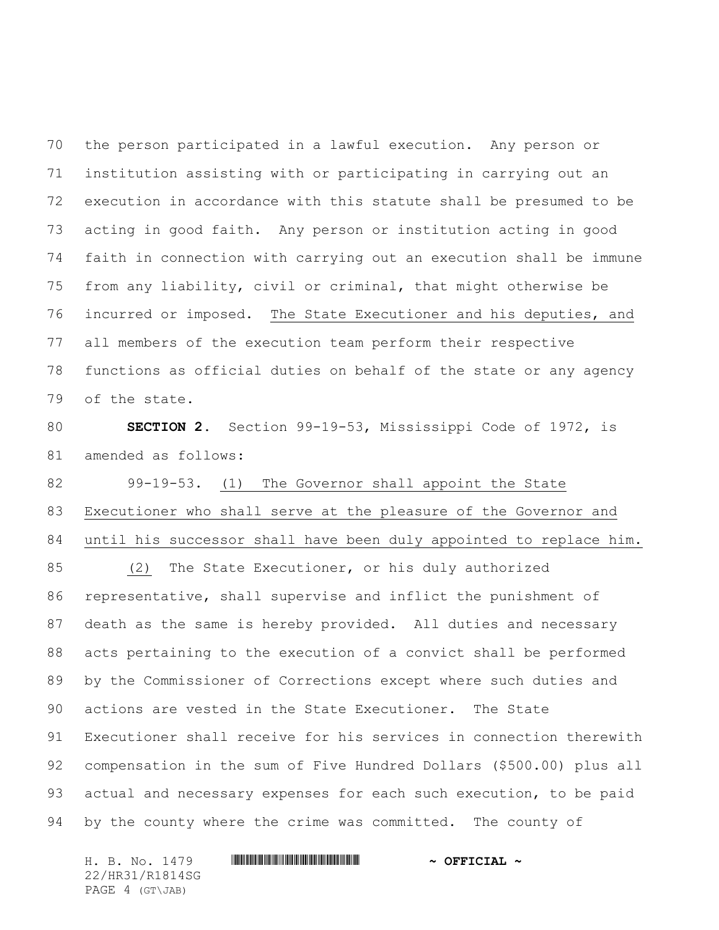the person participated in a lawful execution. Any person or institution assisting with or participating in carrying out an execution in accordance with this statute shall be presumed to be acting in good faith. Any person or institution acting in good faith in connection with carrying out an execution shall be immune from any liability, civil or criminal, that might otherwise be incurred or imposed. The State Executioner and his deputies, and all members of the execution team perform their respective functions as official duties on behalf of the state or any agency of the state.

 **SECTION 2.** Section 99-19-53, Mississippi Code of 1972, is amended as follows:

 99-19-53. (1) The Governor shall appoint the State Executioner who shall serve at the pleasure of the Governor and until his successor shall have been duly appointed to replace him.

 (2) The State Executioner, or his duly authorized representative, shall supervise and inflict the punishment of death as the same is hereby provided. All duties and necessary acts pertaining to the execution of a convict shall be performed by the Commissioner of Corrections except where such duties and actions are vested in the State Executioner. The State Executioner shall receive for his services in connection therewith compensation in the sum of Five Hundred Dollars (\$500.00) plus all 93 actual and necessary expenses for each such execution, to be paid 94 by the county where the crime was committed. The county of

H. B. No. 1479 **. HRINING CONSUMING THE REAL PROPERTION A** 22/HR31/R1814SG PAGE 4 (GT\JAB)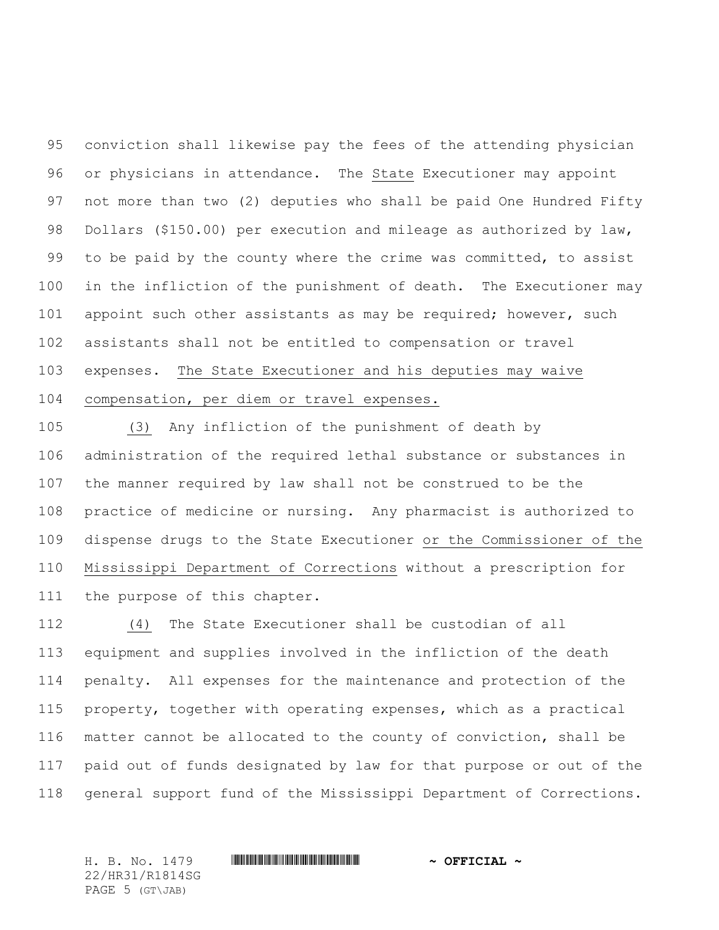conviction shall likewise pay the fees of the attending physician or physicians in attendance. The State Executioner may appoint not more than two (2) deputies who shall be paid One Hundred Fifty Dollars (\$150.00) per execution and mileage as authorized by law, 99 to be paid by the county where the crime was committed, to assist in the infliction of the punishment of death. The Executioner may 101 appoint such other assistants as may be required; however, such assistants shall not be entitled to compensation or travel expenses. The State Executioner and his deputies may waive compensation, per diem or travel expenses.

 (3) Any infliction of the punishment of death by administration of the required lethal substance or substances in the manner required by law shall not be construed to be the practice of medicine or nursing. Any pharmacist is authorized to dispense drugs to the State Executioner or the Commissioner of the Mississippi Department of Corrections without a prescription for the purpose of this chapter.

 (4) The State Executioner shall be custodian of all equipment and supplies involved in the infliction of the death penalty. All expenses for the maintenance and protection of the property, together with operating expenses, which as a practical matter cannot be allocated to the county of conviction, shall be paid out of funds designated by law for that purpose or out of the general support fund of the Mississippi Department of Corrections.

H. B. No. 1479 \*HR31/R1814SG\* **~ OFFICIAL ~** 22/HR31/R1814SG PAGE 5 (GT\JAB)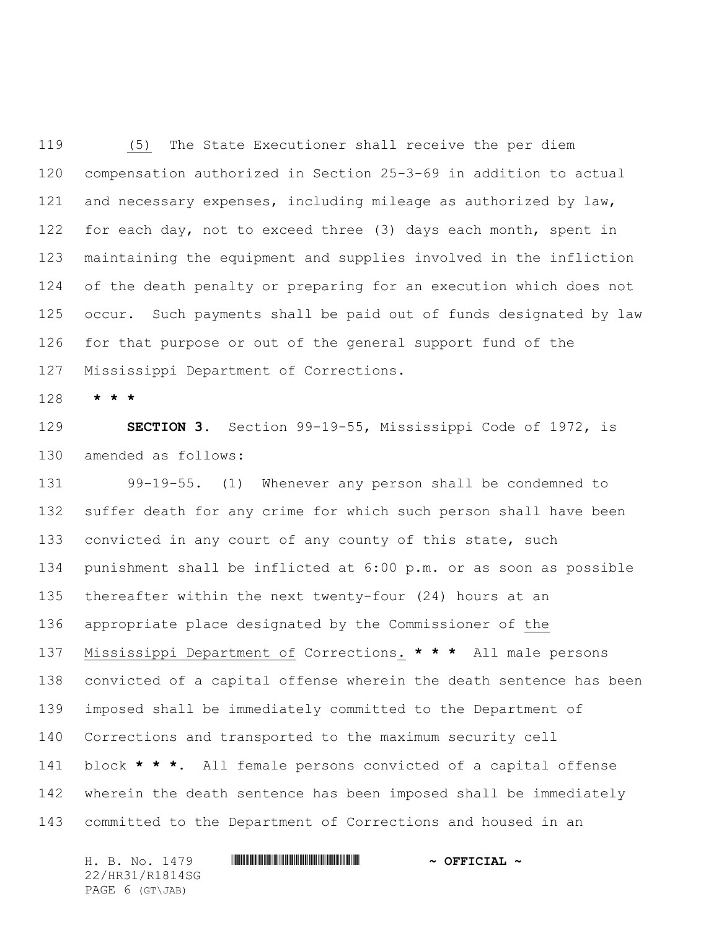(5) The State Executioner shall receive the per diem compensation authorized in Section 25-3-69 in addition to actual and necessary expenses, including mileage as authorized by law, 122 for each day, not to exceed three (3) days each month, spent in maintaining the equipment and supplies involved in the infliction of the death penalty or preparing for an execution which does not occur. Such payments shall be paid out of funds designated by law for that purpose or out of the general support fund of the Mississippi Department of Corrections.

**\* \* \***

 **SECTION 3.** Section 99-19-55, Mississippi Code of 1972, is amended as follows:

 99-19-55. (1) Whenever any person shall be condemned to suffer death for any crime for which such person shall have been convicted in any court of any county of this state, such punishment shall be inflicted at 6:00 p.m. or as soon as possible thereafter within the next twenty-four (24) hours at an appropriate place designated by the Commissioner of the Mississippi Department of Corrections. **\* \* \*** All male persons convicted of a capital offense wherein the death sentence has been imposed shall be immediately committed to the Department of Corrections and transported to the maximum security cell block **\* \* \***. All female persons convicted of a capital offense wherein the death sentence has been imposed shall be immediately committed to the Department of Corrections and housed in an

H. B. No. 1479 **. HRINING CONSUMING THE REAL PROPERTION A** 22/HR31/R1814SG PAGE 6 (GT\JAB)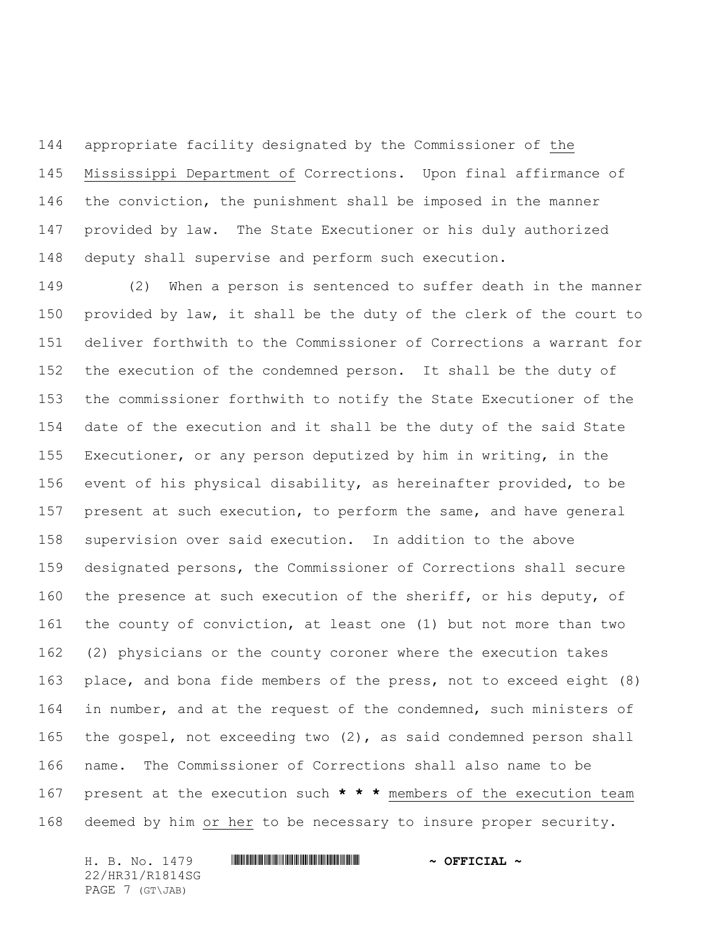appropriate facility designated by the Commissioner of the Mississippi Department of Corrections. Upon final affirmance of the conviction, the punishment shall be imposed in the manner provided by law. The State Executioner or his duly authorized deputy shall supervise and perform such execution.

 (2) When a person is sentenced to suffer death in the manner provided by law, it shall be the duty of the clerk of the court to deliver forthwith to the Commissioner of Corrections a warrant for the execution of the condemned person. It shall be the duty of the commissioner forthwith to notify the State Executioner of the date of the execution and it shall be the duty of the said State Executioner, or any person deputized by him in writing, in the event of his physical disability, as hereinafter provided, to be 157 present at such execution, to perform the same, and have general supervision over said execution. In addition to the above designated persons, the Commissioner of Corrections shall secure 160 the presence at such execution of the sheriff, or his deputy, of the county of conviction, at least one (1) but not more than two (2) physicians or the county coroner where the execution takes place, and bona fide members of the press, not to exceed eight (8) 164 in number, and at the request of the condemned, such ministers of the gospel, not exceeding two (2), as said condemned person shall name. The Commissioner of Corrections shall also name to be present at the execution such **\* \* \*** members of the execution team deemed by him or her to be necessary to insure proper security.

22/HR31/R1814SG PAGE 7 (GT\JAB)

## H. B. No. 1479 **. HRINING CONSUMING THE REAL PROPERTION A**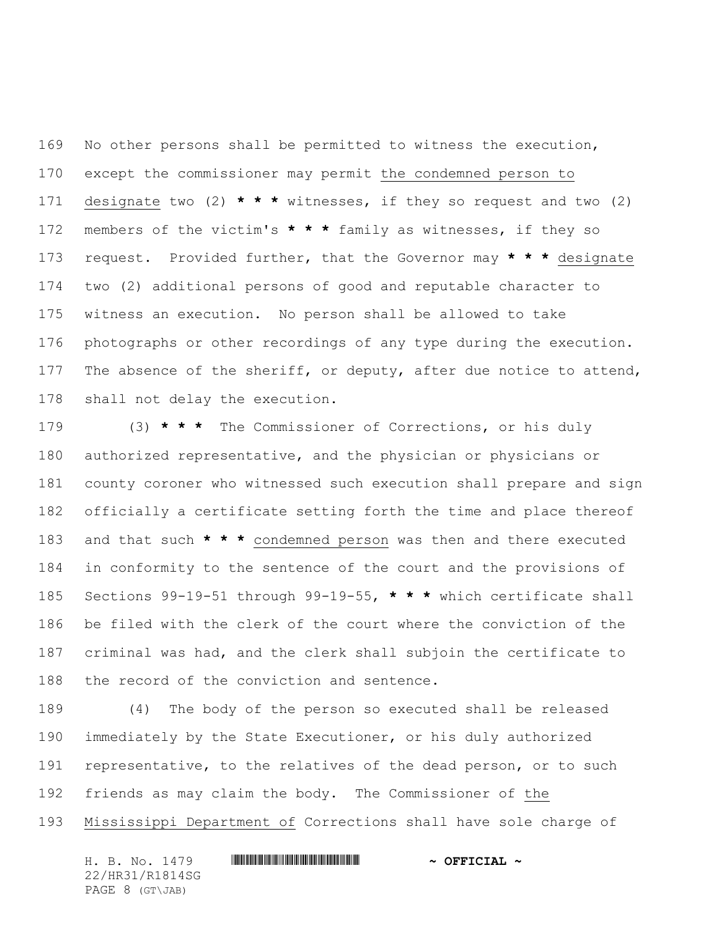No other persons shall be permitted to witness the execution, except the commissioner may permit the condemned person to designate two (2) **\* \* \*** witnesses, if they so request and two (2) members of the victim's **\* \* \*** family as witnesses, if they so request. Provided further, that the Governor may **\* \* \*** designate two (2) additional persons of good and reputable character to witness an execution. No person shall be allowed to take photographs or other recordings of any type during the execution. 177 The absence of the sheriff, or deputy, after due notice to attend, shall not delay the execution.

 (3) **\* \* \*** The Commissioner of Corrections, or his duly authorized representative, and the physician or physicians or county coroner who witnessed such execution shall prepare and sign officially a certificate setting forth the time and place thereof and that such **\* \* \*** condemned person was then and there executed in conformity to the sentence of the court and the provisions of Sections 99-19-51 through 99-19-55, **\* \* \*** which certificate shall be filed with the clerk of the court where the conviction of the criminal was had, and the clerk shall subjoin the certificate to the record of the conviction and sentence.

 (4) The body of the person so executed shall be released immediately by the State Executioner, or his duly authorized 191 representative, to the relatives of the dead person, or to such friends as may claim the body. The Commissioner of the Mississippi Department of Corrections shall have sole charge of

H. B. No. 1479 **. HRINING CONSUMING THE REAL PROPERTION A** 22/HR31/R1814SG PAGE 8 (GT\JAB)